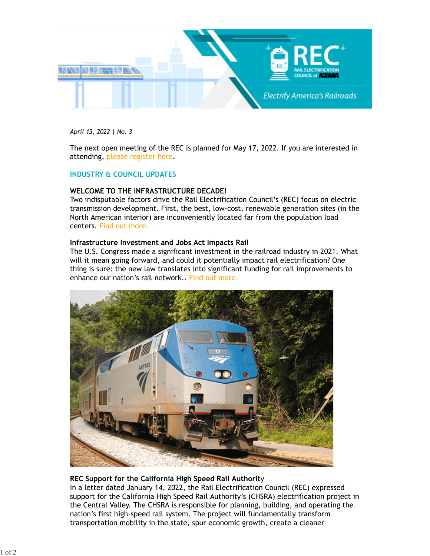

*April 13, 2022 | No. 3* 

The next open meeting of the REC is planned for May 17, 2022. If you are interested in attending, [please register here.](mailto:steve.griffith@nema.org)

## **INDUSTRY & COUNCIL UPDATES**

## **WELCOME TO THE INFRASTRUCTURE DECADE!**

Two indisputable factors drive the Rail Electrification Council's (REC) focus on electric transmission development. First, the best, low-cost, renewable generation sites (in the North American interior) are inconveniently located far from the population load centers. [Find out more.](https://www.nema.org/docs/default-source/council-documents-library/documents/welcome-to-the-infrastructure-decade!.pdf?sfvrsn=a90a1b71_3/)

## **Infrastructure Investment and Jobs Act Impacts Rail**

The U.S. Congress made a significant investment in the railroad industry in 2021. What will it mean going forward, and could it potentially impact rail electrification? One thing is sure: the new law translates into significant funding for rail improvements to enhance our nation's rail network.. [Find out more.](https://www.nema.org/docs/default-source/council-documents-library/documents/iija-rail.pdf?sfvrsn=e7540d92_3/)



# **REC Support for the California High Speed Rail Authorit**y

In a letter dated January 14, 2022, the Rail Electrification Council (REC) expressed support for the California High Speed Rail Authority's (CHSRA) electrification project in the Central Valley. The CHSRA is responsible for planning, building, and operating the nation's first high-speed rail system. The project will fundamentally transform transportation mobility in the state, spur economic growth, create a cleaner